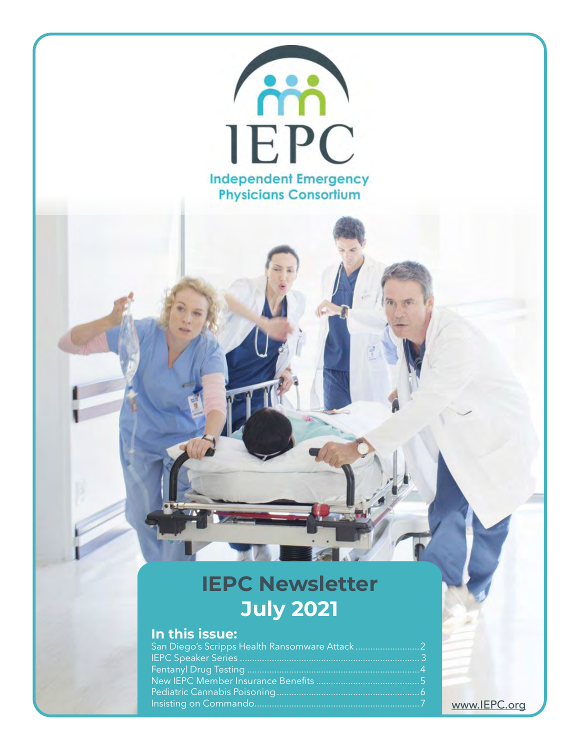

#### <www.IEPC.org>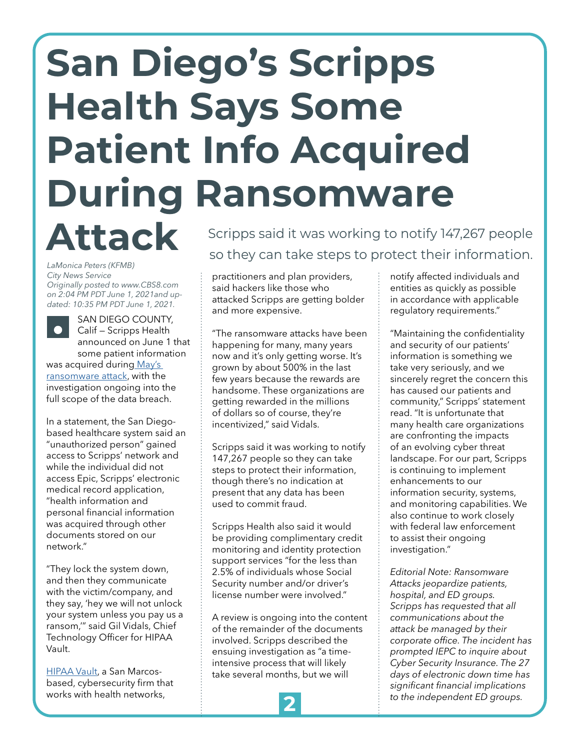## <span id="page-1-0"></span>**San Diego's Scripps Health Says Some Patient Info Acquired During Ransomware**

# **Attack**

*LaMonica Peters (KFMB) City News Service Originally posted to www.CBS8.com on 2:04 PM PDT June 1, 2021and updated: 10:35 PM PDT June 1, 2021.*

SAN DIEGO COUNTY, Calif — Scripps Health announced on June 1 that some patient information was acquired durin[g May's](https://www.cbs8.com/article/news/health/lingering-frustration-for-patients-amid-scripps-cyber-attack/509-cf4d5020-c62e-4e1a-ac5c-2a11cb20e162) 

[ransomware attack](https://www.cbs8.com/article/news/health/lingering-frustration-for-patients-amid-scripps-cyber-attack/509-cf4d5020-c62e-4e1a-ac5c-2a11cb20e162), with the investigation ongoing into the full scope of the data breach.

In a statement, the San Diegobased healthcare system said an "unauthorized person" gained access to Scripps' network and while the individual did not access Epic, Scripps' electronic medical record application, "health information and personal financial information was acquired through other documents stored on our network."

"They lock the system down, and then they communicate with the victim/company, and they say, 'hey we will not unlock your system unless you pay us a ransom,'" said Gil Vidals, Chief Technology Officer for HIPAA Vault.

[HIPAA Vault,](https://www.hipaavault.com/) a San Marcosbased, cybersecurity firm that works with health networks,

Scripps said it was working to notify 147,267 people so they can take steps to protect their information.

practitioners and plan providers, said hackers like those who attacked Scripps are getting bolder and more expensive.

"The ransomware attacks have been happening for many, many years now and it's only getting worse. It's grown by about 500% in the last few years because the rewards are handsome. These organizations are getting rewarded in the millions of dollars so of course, they're incentivized," said Vidals.

Scripps said it was working to notify 147,267 people so they can take steps to protect their information, though there's no indication at present that any data has been used to commit fraud.

Scripps Health also said it would be providing complimentary credit monitoring and identity protection support services "for the less than 2.5% of individuals whose Social Security number and/or driver's license number were involved."

A review is ongoing into the content of the remainder of the documents involved. Scripps described the ensuing investigation as "a timeintensive process that will likely take several months, but we will

notify affected individuals and entities as quickly as possible in accordance with applicable regulatory requirements."

"Maintaining the confidentiality and security of our patients' information is something we take very seriously, and we sincerely regret the concern this has caused our patients and community," Scripps' statement read. "It is unfortunate that many health care organizations are confronting the impacts of an evolving cyber threat landscape. For our part, Scripps is continuing to implement enhancements to our information security, systems, and monitoring capabilities. We also continue to work closely with federal law enforcement to assist their ongoing investigation."

*Editorial Note: Ransomware Attacks jeopardize patients, hospital, and ED groups. Scripps has requested that all communications about the attack be managed by their corporate office. The incident has prompted IEPC to inquire about Cyber Security Insurance. The 27 days of electronic down time has significant financial implications to the independent ED groups.* **2**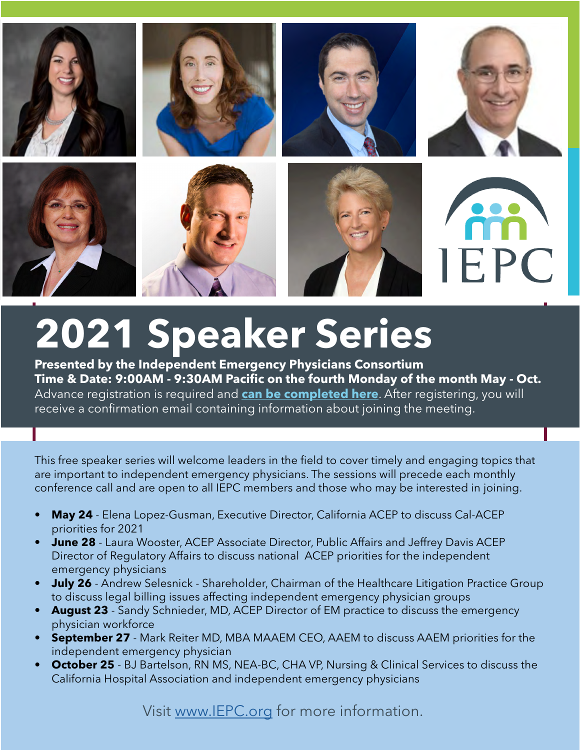

## **2021 Speaker Series**

**Presented by the Independent Emergency Physicians Consortium Time & Date: 9:00AM - 9:30AM Pacific on the fourth Monday of the month May - Oct.** Advance registration is required and **can be completed here**. After registering, you will receive a confirmation email containing information about joining the meeting.

This free speaker series will welcome leaders in the field to cover timely and engaging topics that are important to independent emergency physicians. The sessions will precede each monthly conference call and are open to all IEPC members and those who may be interested in joining.

- **• May 24** Elena Lopez-Gusman, Executive Director, California ACEP to discuss Cal-ACEP priorities for 2021
- **• June 28** Laura Wooster, ACEP Associate Director, Public Affairs and Jeffrey Davis ACEP Director of Regulatory Affairs to discuss national ACEP priorities for the independent emergency physicians
- **• July 26** Andrew Selesnick Shareholder, Chairman of the Healthcare Litigation Practice Group to discuss legal billing issues affecting independent emergency physician groups
- **• August 23** Sandy Schnieder, MD, ACEP Director of EM practice to discuss the emergency physician workforce
- **• September 27** Mark Reiter MD, MBA MAAEM CEO, AAEM to discuss AAEM priorities for the independent emergency physician
- **• October 25** BJ Bartelson, RN MS, NEA-BC, CHA VP, Nursing & Clinical Services to discuss the California Hospital Association and independent emergency physicians

Visit www.IEPC.org for more information.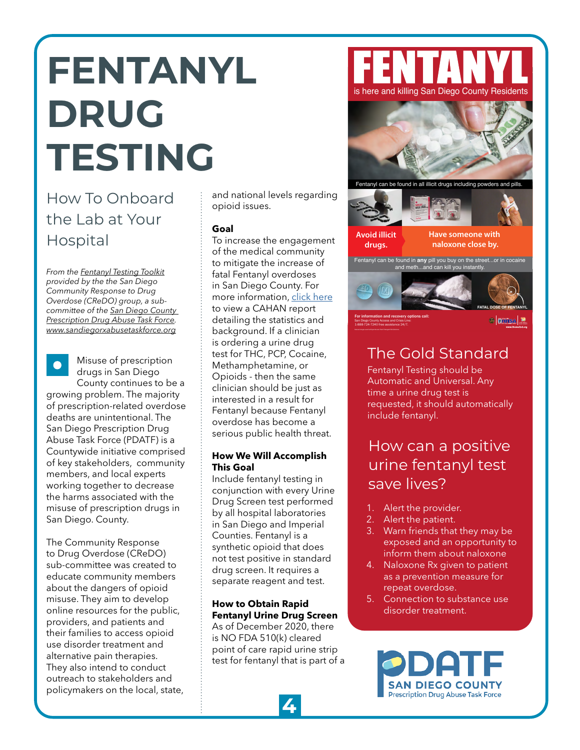## <span id="page-3-0"></span>**FENTANYL DRUG TESTING**

### How To Onboard the Lab at Your Hospital

*From the [Fentanyl Testing Toolkit](https://www.sandiegorxabusetaskforce.org/fentanyl-toolkit) provided by the the San Diego Community Response to Drug Overdose (CReDO) group, a subcommittee of the [San Diego County](https://www.sandiegorxabusetaskforce.org/)  [Prescription Drug Abuse Task Force](https://www.sandiegorxabusetaskforce.org/). <www.sandiegorxabusetaskforce.org>*

Misuse of prescription drugs in San Diego County continues to be a growing problem. The majority of prescription-related overdose deaths are unintentional. The San Diego Prescription Drug Abuse Task Force (PDATF) is a Countywide initiative comprised of key stakeholders, community members, and local experts working together to decrease the harms associated with the misuse of prescription drugs in San Diego. County.

The Community Response to Drug Overdose (CReDO) sub-committee was created to educate community members about the dangers of opioid misuse. They aim to develop online resources for the public, providers, and patients and their families to access opioid use disorder treatment and alternative pain therapies. They also intend to conduct outreach to stakeholders and policymakers on the local, state, and national levels regarding opioid issues.

#### **Goal**

To increase the engagement of the medical community to mitigate the increase of fatal Fentanyl overdoses in San Diego County. For more information, [click here](https://www.sandiegocounty.gov/content/dam/sdc/hhsa/programs/phs/cahan/communications_documents/08-21-2020.pdf) to view a CAHAN report detailing the statistics and background. If a clinician is ordering a urine drug test for THC, PCP, Cocaine, Methamphetamine, or Opioids - then the same clinician should be just as interested in a result for Fentanyl because Fentanyl overdose has become a serious public health threat.

#### **How We Will Accomplish This Goal**

Include fentanyl testing in conjunction with every Urine Drug Screen test performed by all hospital laboratories in San Diego and Imperial Counties. Fentanyl is a synthetic opioid that does not test positive in standard drug screen. It requires a separate reagent and test.

#### **How to Obtain Rapid Fentanyl Urine Drug Screen**

As of December 2020, there is NO FDA 510(k) cleared point of care rapid urine strip test for fentanyl that is part of a





### The Gold Standard

Fentanyl Testing should be Automatic and Universal. Any time a urine drug test is requested, it should automatically include fentanyl.

### How can a positive urine fentanyl test save lives?

- 1. Alert the provider.
- 2. Alert the patient.
- 3. Warn friends that they may be exposed and an opportunity to inform them about naloxone
- 4. Naloxone Rx given to patient as a prevention measure for repeat overdose.
- 5. Connection to substance use disorder treatment.

**SAN DIEGO COUNTY Prescription Drug Abuse Task Force**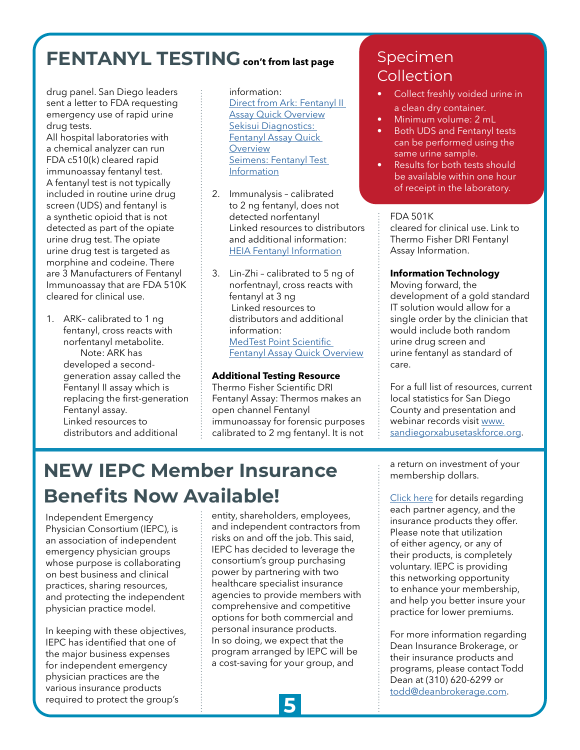## **FENTANYL TESTING** con't from last page Specimen

drug panel. San Diego leaders sent a letter to FDA requesting emergency use of rapid urine drug tests.

All hospital laboratories with a chemical analyzer can run FDA c510(k) cleared rapid immunoassay fentanyl test. A fentanyl test is not typically included in routine urine drug screen (UDS) and fentanyl is a synthetic opioid that is not detected as part of the opiate urine drug test. The opiate urine drug test is targeted as morphine and codeine. There are 3 Manufacturers of Fentanyl Immunoassay that are FDA 510K cleared for clinical use.

1. ARK– calibrated to 1 ng fentanyl, cross reacts with norfentanyl metabolite. Note: ARK has developed a secondgeneration assay called the Fentanyl II assay which is replacing the first-generation Fentanyl assay. Linked resources to distributors and additional

#### information:

Direct from Ark: Fentanyl II [Assay Quick Overview](https://www.ark-tdm.com/products/urine-drug-tests/fentanyl-II/pdfs/MKT_20-002_FEN_II_Data_Sheet_Web_Rev02_April_2020.pdf) [Sekisui Diagnostics:](https://sekisuidiagnostics.com/wp-content/uploads/2019/03/Fentanyl-Assay-Sales-Sheet-5031.pdf)  [Fentanyl Assay Quick](https://sekisuidiagnostics.com/wp-content/uploads/2019/03/Fentanyl-Assay-Sales-Sheet-5031.pdf)  **[Overview](https://sekisuidiagnostics.com/wp-content/uploads/2019/03/Fentanyl-Assay-Sales-Sheet-5031.pdf)** [Seimens: Fentanyl Test](https://www.siemens-healthineers.com/en-us/laboratory-diagnostics/assays-by-diseases-conditions/drugs-of-abuse-assays/ark-fentanyl-assay)  [Information](https://www.siemens-healthineers.com/en-us/laboratory-diagnostics/assays-by-diseases-conditions/drugs-of-abuse-assays/ark-fentanyl-assay)

- 2. Immunalysis calibrated to 2 ng fentanyl, does not detected norfentanyl Linked resources to distributors and additional information: [HEIA Fentanyl Information](https://immunalysis.com/wp-content/uploads/2016/10/Fentanyl_HEIA_MKT50368_2.pdf)
- 3. Lin-Zhi calibrated to 5 ng of norfentnayl, cross reacts with fentanyl at 3 ng Linked resources to distributors and additional information: [MedTest Point Scientific](https://medtestdx.com/wp-content/uploads/2020/08/DS-P3111-01.2-Fentanyl-Sell-Sheet.pdf)  [Fentanyl Assay Quick Overview](https://medtestdx.com/wp-content/uploads/2020/08/DS-P3111-01.2-Fentanyl-Sell-Sheet.pdf)

#### **Additional Testing Resource**

Thermo Fisher Scientific DRI Fentanyl Assay: Thermos makes an open channel Fentanyl immunoassay for forensic purposes calibrated to 2 mg fentanyl. It is not

## Collection

- Collect freshly voided urine in a clean dry container.
- Minimum volume: 2 mL
- Both UDS and Fentanyl tests can be performed using the same urine sample.
- Results for both tests should be available within one hour of receipt in the laboratory.

#### FDA 501K

cleared for clinical use. Link to Thermo Fisher DRI Fentanyl Assay Information.

#### **Information Technology**

Moving forward, the development of a gold standard IT solution would allow for a single order by the clinician that would include both random urine drug screen and urine fentanyl as standard of care.

For a full list of resources, current local statistics for San Diego County and presentation and webinar records visit [www.](https://www.sandiegorxabusetaskforce.org/) [sandiegorxabusetaskforce.org](https://www.sandiegorxabusetaskforce.org/).

### **NEW IEPC Member Insurance Benefits Now Available!**

Independent Emergency Physician Consortium (IEPC), is an association of independent emergency physician groups whose purpose is collaborating on best business and clinical practices, sharing resources, and protecting the independent physician practice model.

In keeping with these objectives, IEPC has identified that one of the major business expenses for independent emergency physician practices are the various insurance products required to protect the group's

entity, shareholders, employees, and independent contractors from risks on and off the job. This said, IEPC has decided to leverage the consortium's group purchasing power by partnering with two healthcare specialist insurance agencies to provide members with comprehensive and competitive options for both commercial and personal insurance products. In so doing, we expect that the program arranged by IEPC will be a cost-saving for your group, and

a return on investment of your membership dollars.

[Click here](https://iepc.org/wp-content/uploads/sites/59/2021/06/IEPC-Brochure.pdf) for details regarding each partner agency, and the insurance products they offer. Please note that utilization of either agency, or any of their products, is completely voluntary. IEPC is providing this networking opportunity to enhance your membership, and help you better insure your practice for lower premiums.

For more information regarding Dean Insurance Brokerage, or their insurance products and programs, please contact Todd Dean at (310) 620-6299 or [todd@deanbrokerage.com.](mailto: todd@deanbrokerage.com)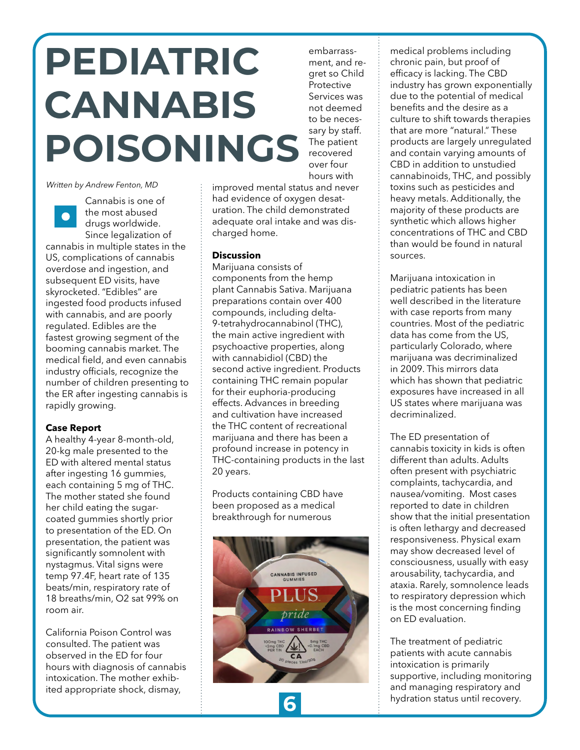## **PEDIATRIC CANNABIS POISONINGS**

*Written by Andrew Fenton, MD*

Cannabis is one of the most abused  $\bullet$ drugs worldwide. Since legalization of cannabis in multiple states in the US, complications of cannabis overdose and ingestion, and subsequent ED visits, have skyrocketed. "Edibles" are ingested food products infused with cannabis, and are poorly regulated. Edibles are the fastest growing segment of the booming cannabis market. The medical field, and even cannabis industry officials, recognize the number of children presenting to the ER after ingesting cannabis is rapidly growing.

#### **Case Report**

A healthy 4-year 8-month-old, 20-kg male presented to the ED with altered mental status after ingesting 16 gummies, each containing 5 mg of THC. The mother stated she found her child eating the sugarcoated gummies shortly prior to presentation of the ED. On presentation, the patient was significantly somnolent with nystagmus. Vital signs were temp 97.4F, heart rate of 135 beats/min, respiratory rate of 18 breaths/min, O2 sat 99% on room air.

California Poison Control was consulted. The patient was observed in the ED for four hours with diagnosis of cannabis intoxication. The mother exhibited appropriate shock, dismay,

hours with improved mental status and never had evidence of oxygen desaturation. The child demonstrated adequate oral intake and was discharged home.

embarrassment, and regret so Child Protective Services was not deemed to be necessary by staff. The patient recovered over four

#### **Discussion**

Marijuana consists of components from the hemp plant Cannabis Sativa. Marijuana preparations contain over 400 compounds, including delta-9-tetrahydrocannabinol (THC), the main active ingredient with psychoactive properties, along with cannabidiol (CBD) the second active ingredient. Products containing THC remain popular for their euphoria-producing effects. Advances in breeding and cultivation have increased the THC content of recreational marijuana and there has been a profound increase in potency in THC-containing products in the last 20 years.

Products containing CBD have been proposed as a medical breakthrough for numerous



medical problems including chronic pain, but proof of efficacy is lacking. The CBD industry has grown exponentially due to the potential of medical benefits and the desire as a culture to shift towards therapies that are more "natural." These products are largely unregulated and contain varying amounts of CBD in addition to unstudied cannabinoids, THC, and possibly toxins such as pesticides and heavy metals. Additionally, the majority of these products are synthetic which allows higher concentrations of THC and CBD than would be found in natural sources.

Marijuana intoxication in pediatric patients has been well described in the literature with case reports from many countries. Most of the pediatric data has come from the US, particularly Colorado, where marijuana was decriminalized in 2009. This mirrors data which has shown that pediatric exposures have increased in all US states where marijuana was decriminalized.

The ED presentation of cannabis toxicity in kids is often different than adults. Adults often present with psychiatric complaints, tachycardia, and nausea/vomiting. Most cases reported to date in children show that the initial presentation is often lethargy and decreased responsiveness. Physical exam may show decreased level of consciousness, usually with easy arousability, tachycardia, and ataxia. Rarely, somnolence leads to respiratory depression which is the most concerning finding on ED evaluation.

The treatment of pediatric patients with acute cannabis intoxication is primarily supportive, including monitoring and managing respiratory and hydration status until recovery. **6**